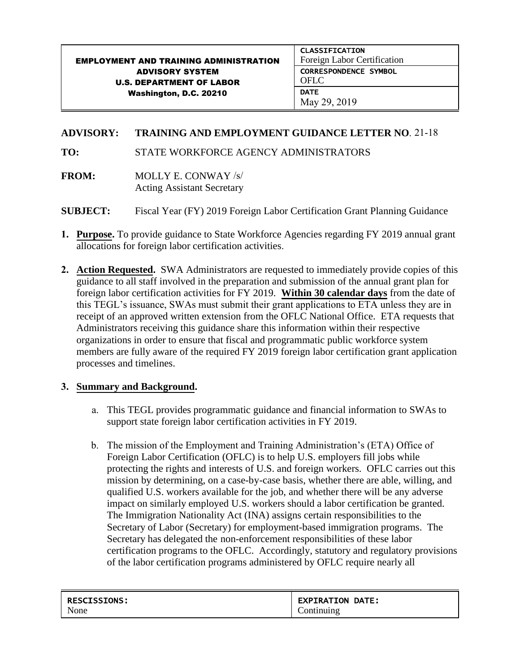## EMPLOYMENT AND TRAINING ADMINISTRATION ADVISORY SYSTEM U.S. DEPARTMENT OF LABOR Washington, D.C. 20210 CLASSIFICATION Foreign Labor Certification CORRESPONDENCE SYMBOL OFLC **DATE** May 29, 2019

## **ADVISORY: TRAINING AND EMPLOYMENT GUIDANCE LETTER NO.** 21-18

**TO:** STATE WORKFORCE AGENCY ADMINISTRATORS

- **FROM:** MOLLY E. CONWAY /s/ Acting Assistant Secretary
- **SUBJECT:** Fiscal Year (FY) 2019 Foreign Labor Certification Grant Planning Guidance
- **1. Purpose.** To provide guidance to State Workforce Agencies regarding FY 2019 annual grant allocations for foreign labor certification activities.
- **2. Action Requested.** SWA Administrators are requested to immediately provide copies of this guidance to all staff involved in the preparation and submission of the annual grant plan for foreign labor certification activities for FY 2019. **Within 30 calendar days** from the date of this TEGL's issuance, SWAs must submit their grant applications to ETA unless they are in receipt of an approved written extension from the OFLC National Office. ETA requests that Administrators receiving this guidance share this information within their respective organizations in order to ensure that fiscal and programmatic public workforce system members are fully aware of the required FY 2019 foreign labor certification grant application processes and timelines.

## **3. Summary and Background.**

- a. This TEGL provides programmatic guidance and financial information to SWAs to support state foreign labor certification activities in FY 2019.
- b. The mission of the Employment and Training Administration's (ETA) Office of Foreign Labor Certification (OFLC) is to help U.S. employers fill jobs while protecting the rights and interests of U.S. and foreign workers. OFLC carries out this mission by determining, on a case-by-case basis, whether there are able, willing, and qualified U.S. workers available for the job, and whether there will be any adverse impact on similarly employed U.S. workers should a labor certification be granted. The Immigration Nationality Act (INA) assigns certain responsibilities to the Secretary of Labor (Secretary) for employment-based immigration programs. The Secretary has delegated the non-enforcement responsibilities of these labor certification programs to the OFLC. Accordingly, statutory and regulatory provisions of the labor certification programs administered by OFLC require nearly all

| <b>RESCISSIONS:</b> | <b>EXPIRATION DATE:</b> |
|---------------------|-------------------------|
| None                | Continuing              |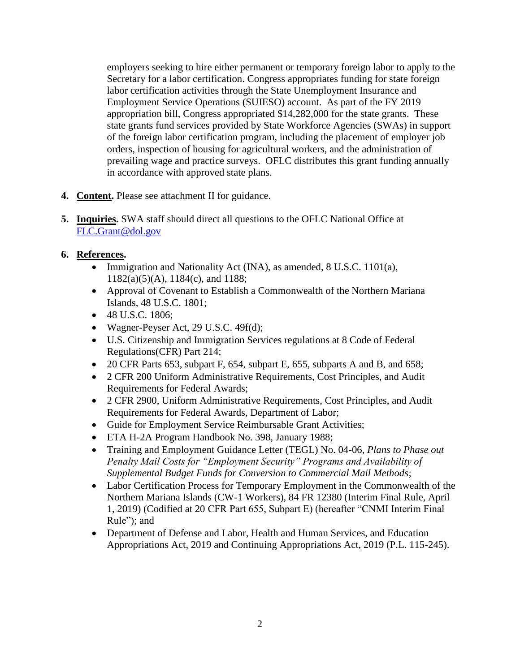employers seeking to hire either permanent or temporary foreign labor to apply to the Secretary for a labor certification. Congress appropriates funding for state foreign labor certification activities through the State Unemployment Insurance and Employment Service Operations (SUIESO) account. As part of the FY 2019 appropriation bill, Congress appropriated \$14,282,000 for the state grants. These state grants fund services provided by State Workforce Agencies (SWAs) in support of the foreign labor certification program, including the placement of employer job orders, inspection of housing for agricultural workers, and the administration of prevailing wage and practice surveys. OFLC distributes this grant funding annually in accordance with approved state plans.

- **4. Content.** Please see attachment II for guidance.
- **5. Inquiries.** SWA staff should direct all questions to the OFLC National Office at [FLC.Grant@dol.gov](mailto:FLC.Grant@dol.gov)
- **6. References.**
	- Immigration and Nationality Act (INA), as amended, 8 U.S.C. 1101(a), 1182(a)(5)(A), 1184(c), and 1188;
	- Approval of Covenant to Establish a Commonwealth of the Northern Mariana Islands, 48 U.S.C. 1801;
	- 48 U.S.C. 1806;
	- Wagner-Peyser Act, 29 U.S.C. 49f(d);
	- U.S. Citizenship and Immigration Services regulations at 8 Code of Federal Regulations(CFR) Part 214;
	- 20 CFR Parts 653, subpart F, 654, subpart E, 655, subparts A and B, and 658;
	- 2 CFR 200 Uniform Administrative Requirements, Cost Principles, and Audit Requirements for Federal Awards;
	- 2 CFR 2900, Uniform Administrative Requirements, Cost Principles, and Audit Requirements for Federal Awards, Department of Labor;
	- Guide for Employment Service Reimbursable Grant Activities;
	- ETA H-2A Program Handbook No. 398, January 1988;
	- Training and Employment Guidance Letter (TEGL) No. 04-06, *Plans to Phase out Penalty Mail Costs for "Employment Security" Programs and Availability of Supplemental Budget Funds for Conversion to Commercial Mail Methods*;
	- Labor Certification Process for Temporary Employment in the Commonwealth of the Northern Mariana Islands (CW-1 Workers), 84 FR 12380 (Interim Final Rule, April 1, 2019) (Codified at 20 CFR Part 655, Subpart E) (hereafter "CNMI Interim Final Rule"); and
	- Department of Defense and Labor, Health and Human Services, and Education Appropriations Act, 2019 and Continuing Appropriations Act, 2019 (P.L. 115-245).